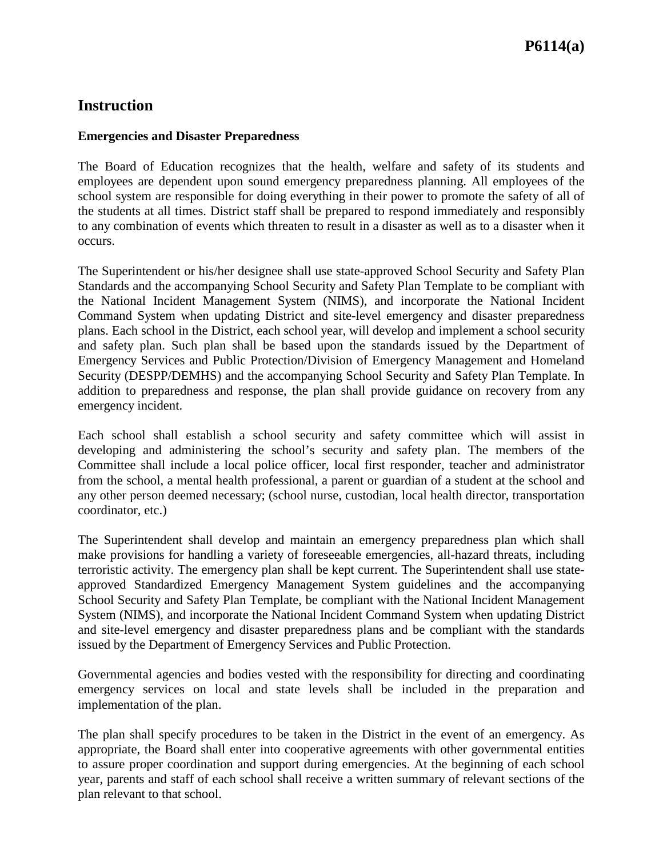# **Instruction**

#### **Emergencies and Disaster Preparedness**

The Board of Education recognizes that the health, welfare and safety of its students and employees are dependent upon sound emergency preparedness planning. All employees of the school system are responsible for doing everything in their power to promote the safety of all of the students at all times. District staff shall be prepared to respond immediately and responsibly to any combination of events which threaten to result in a disaster as well as to a disaster when it occurs.

The Superintendent or his/her designee shall use state-approved School Security and Safety Plan Standards and the accompanying School Security and Safety Plan Template to be compliant with the National Incident Management System (NIMS), and incorporate the National Incident Command System when updating District and site-level emergency and disaster preparedness plans. Each school in the District, each school year, will develop and implement a school security and safety plan. Such plan shall be based upon the standards issued by the Department of Emergency Services and Public Protection/Division of Emergency Management and Homeland Security (DESPP/DEMHS) and the accompanying School Security and Safety Plan Template. In addition to preparedness and response, the plan shall provide guidance on recovery from any emergency incident.

Each school shall establish a school security and safety committee which will assist in developing and administering the school's security and safety plan. The members of the Committee shall include a local police officer, local first responder, teacher and administrator from the school, a mental health professional, a parent or guardian of a student at the school and any other person deemed necessary; (school nurse, custodian, local health director, transportation coordinator, etc.)

The Superintendent shall develop and maintain an emergency preparedness plan which shall make provisions for handling a variety of foreseeable emergencies, all-hazard threats, including terroristic activity. The emergency plan shall be kept current. The Superintendent shall use stateapproved Standardized Emergency Management System guidelines and the accompanying School Security and Safety Plan Template, be compliant with the National Incident Management System (NIMS), and incorporate the National Incident Command System when updating District and site-level emergency and disaster preparedness plans and be compliant with the standards issued by the Department of Emergency Services and Public Protection.

Governmental agencies and bodies vested with the responsibility for directing and coordinating emergency services on local and state levels shall be included in the preparation and implementation of the plan.

The plan shall specify procedures to be taken in the District in the event of an emergency. As appropriate, the Board shall enter into cooperative agreements with other governmental entities to assure proper coordination and support during emergencies. At the beginning of each school year, parents and staff of each school shall receive a written summary of relevant sections of the plan relevant to that school.